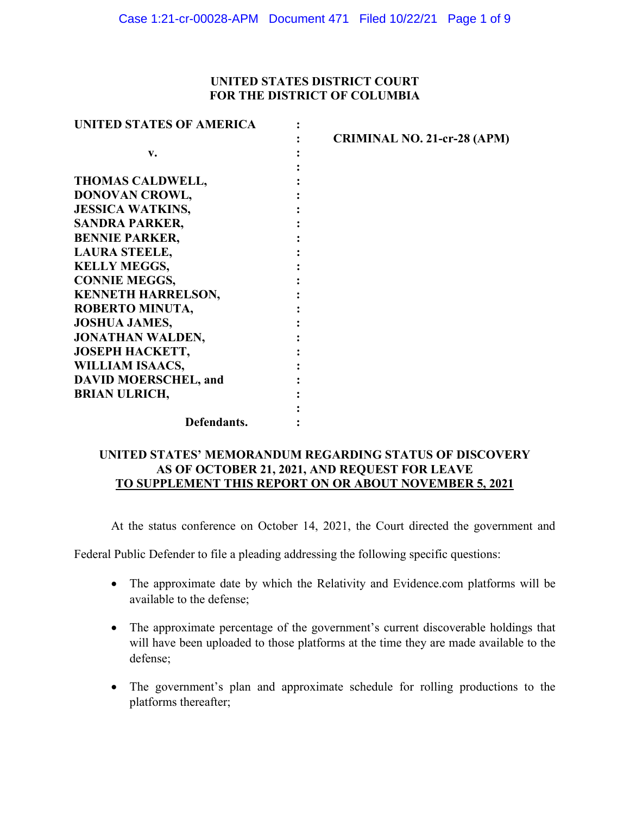## **UNITED STATES DISTRICT COURT FOR THE DISTRICT OF COLUMBIA**

| <b>UNITED STATES OF AMERICA</b> |                                    |
|---------------------------------|------------------------------------|
|                                 | <b>CRIMINAL NO. 21-cr-28 (APM)</b> |
| v.                              |                                    |
|                                 |                                    |
| THOMAS CALDWELL,                |                                    |
| DONOVAN CROWL,                  |                                    |
| <b>JESSICA WATKINS,</b>         |                                    |
| <b>SANDRA PARKER,</b>           |                                    |
| <b>BENNIE PARKER,</b>           |                                    |
| <b>LAURA STEELE,</b>            |                                    |
| <b>KELLY MEGGS,</b>             |                                    |
| <b>CONNIE MEGGS,</b>            |                                    |
| <b>KENNETH HARRELSON,</b>       |                                    |
| <b>ROBERTO MINUTA,</b>          |                                    |
| <b>JOSHUA JAMES,</b>            |                                    |
| <b>JONATHAN WALDEN,</b>         |                                    |
| <b>JOSEPH HACKETT,</b>          |                                    |
| <b>WILLIAM ISAACS,</b>          |                                    |
| <b>DAVID MOERSCHEL, and</b>     |                                    |
| <b>BRIAN ULRICH,</b>            |                                    |
|                                 |                                    |
| Defendants.                     |                                    |

## **UNITED STATES' MEMORANDUM REGARDING STATUS OF DISCOVERY AS OF OCTOBER 21, 2021, AND REQUEST FOR LEAVE TO SUPPLEMENT THIS REPORT ON OR ABOUT NOVEMBER 5, 2021**

At the status conference on October 14, 2021, the Court directed the government and

Federal Public Defender to file a pleading addressing the following specific questions:

- The approximate date by which the Relativity and Evidence.com platforms will be available to the defense;
- The approximate percentage of the government's current discoverable holdings that will have been uploaded to those platforms at the time they are made available to the defense;
- The government's plan and approximate schedule for rolling productions to the platforms thereafter;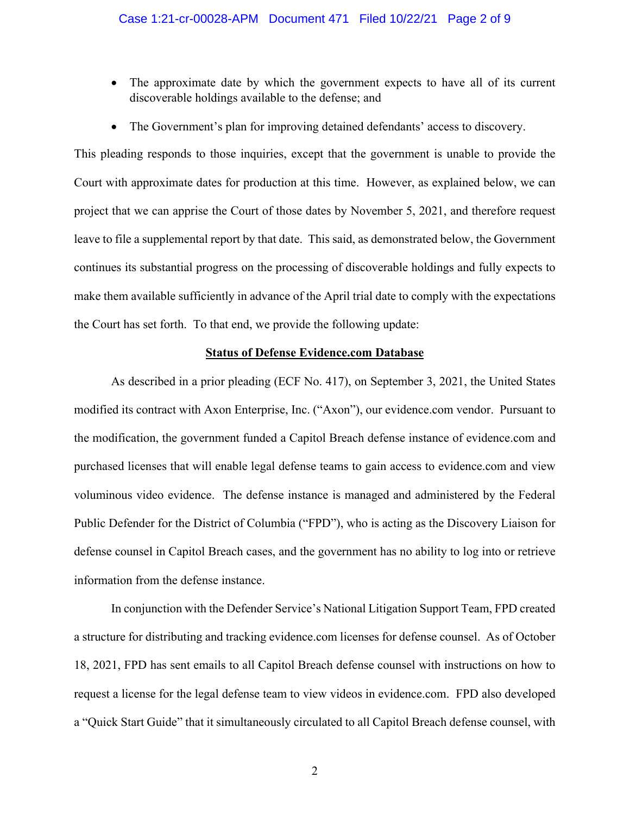- The approximate date by which the government expects to have all of its current discoverable holdings available to the defense; and
- The Government's plan for improving detained defendants' access to discovery.

This pleading responds to those inquiries, except that the government is unable to provide the Court with approximate dates for production at this time. However, as explained below, we can project that we can apprise the Court of those dates by November 5, 2021, and therefore request leave to file a supplemental report by that date. This said, as demonstrated below, the Government continues its substantial progress on the processing of discoverable holdings and fully expects to make them available sufficiently in advance of the April trial date to comply with the expectations the Court has set forth. To that end, we provide the following update:

#### **Status of Defense Evidence.com Database**

As described in a prior pleading (ECF No. 417), on September 3, 2021, the United States modified its contract with Axon Enterprise, Inc. ("Axon"), our evidence.com vendor. Pursuant to the modification, the government funded a Capitol Breach defense instance of evidence.com and purchased licenses that will enable legal defense teams to gain access to evidence.com and view voluminous video evidence. The defense instance is managed and administered by the Federal Public Defender for the District of Columbia ("FPD"), who is acting as the Discovery Liaison for defense counsel in Capitol Breach cases, and the government has no ability to log into or retrieve information from the defense instance.

In conjunction with the Defender Service's National Litigation Support Team, FPD created a structure for distributing and tracking evidence.com licenses for defense counsel. As of October 18, 2021, FPD has sent emails to all Capitol Breach defense counsel with instructions on how to request a license for the legal defense team to view videos in evidence.com. FPD also developed a "Quick Start Guide" that it simultaneously circulated to all Capitol Breach defense counsel, with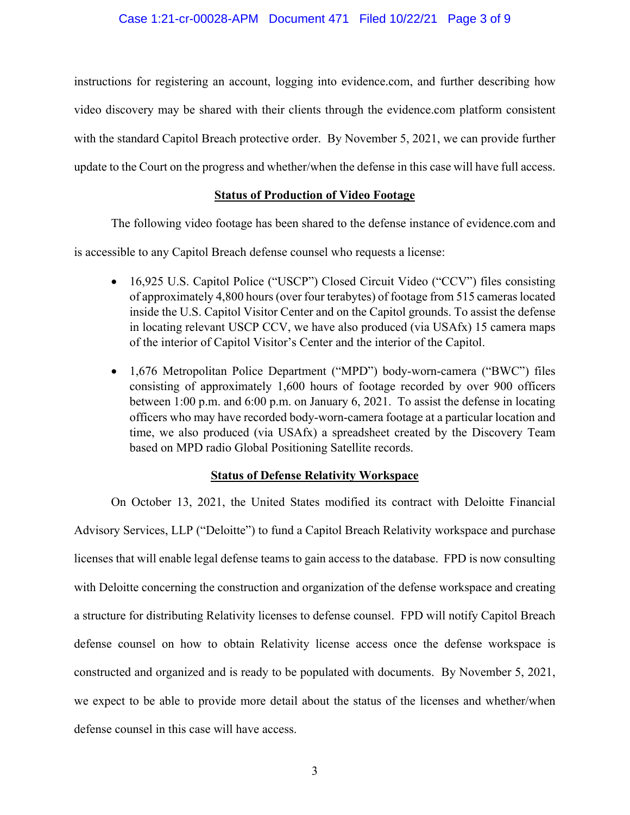instructions for registering an account, logging into evidence.com, and further describing how video discovery may be shared with their clients through the evidence.com platform consistent with the standard Capitol Breach protective order. By November 5, 2021, we can provide further update to the Court on the progress and whether/when the defense in this case will have full access.

## **Status of Production of Video Footage**

The following video footage has been shared to the defense instance of evidence.com and

is accessible to any Capitol Breach defense counsel who requests a license:

- 16,925 U.S. Capitol Police ("USCP") Closed Circuit Video ("CCV") files consisting of approximately 4,800 hours (over four terabytes) of footage from 515 cameras located inside the U.S. Capitol Visitor Center and on the Capitol grounds. To assist the defense in locating relevant USCP CCV, we have also produced (via USAfx) 15 camera maps of the interior of Capitol Visitor's Center and the interior of the Capitol.
- 1,676 Metropolitan Police Department ("MPD") body-worn-camera ("BWC") files consisting of approximately 1,600 hours of footage recorded by over 900 officers between 1:00 p.m. and 6:00 p.m. on January 6, 2021. To assist the defense in locating officers who may have recorded body-worn-camera footage at a particular location and time, we also produced (via USAfx) a spreadsheet created by the Discovery Team based on MPD radio Global Positioning Satellite records.

### **Status of Defense Relativity Workspace**

On October 13, 2021, the United States modified its contract with Deloitte Financial Advisory Services, LLP ("Deloitte") to fund a Capitol Breach Relativity workspace and purchase licenses that will enable legal defense teams to gain access to the database. FPD is now consulting with Deloitte concerning the construction and organization of the defense workspace and creating a structure for distributing Relativity licenses to defense counsel. FPD will notify Capitol Breach defense counsel on how to obtain Relativity license access once the defense workspace is constructed and organized and is ready to be populated with documents. By November 5, 2021, we expect to be able to provide more detail about the status of the licenses and whether/when defense counsel in this case will have access.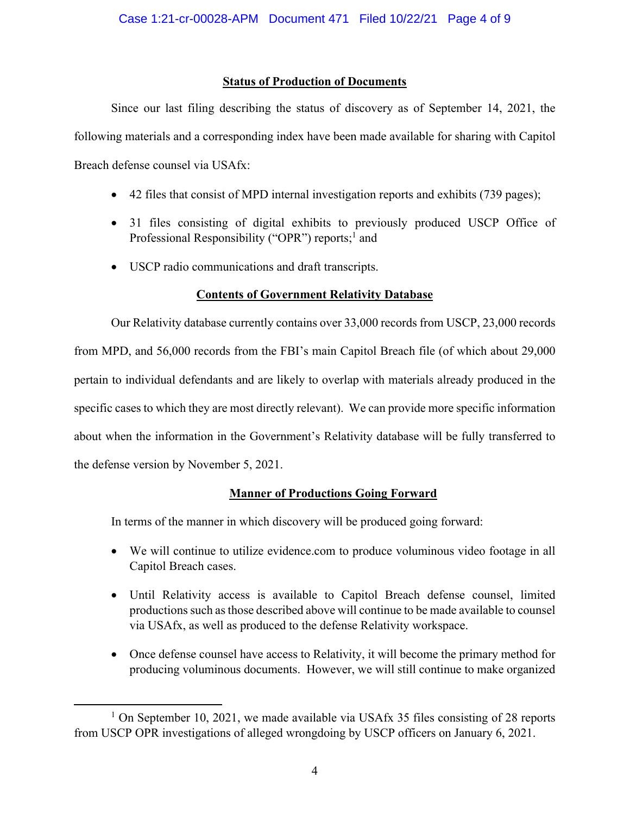### **Status of Production of Documents**

Since our last filing describing the status of discovery as of September 14, 2021, the following materials and a corresponding index have been made available for sharing with Capitol Breach defense counsel via USAfx:

- 42 files that consist of MPD internal investigation reports and exhibits (739 pages);
- 31 files consisting of digital exhibits to previously produced USCP Office of Professional Responsibility ("OPR") reports;<sup>1</sup> and
- USCP radio communications and draft transcripts.

# **Contents of Government Relativity Database**

Our Relativity database currently contains over 33,000 records from USCP, 23,000 records from MPD, and 56,000 records from the FBI's main Capitol Breach file (of which about 29,000 pertain to individual defendants and are likely to overlap with materials already produced in the specific cases to which they are most directly relevant). We can provide more specific information about when the information in the Government's Relativity database will be fully transferred to the defense version by November 5, 2021.

# **Manner of Productions Going Forward**

In terms of the manner in which discovery will be produced going forward:

- We will continue to utilize evidence.com to produce voluminous video footage in all Capitol Breach cases.
- Until Relativity access is available to Capitol Breach defense counsel, limited productions such as those described above will continue to be made available to counsel via USAfx, as well as produced to the defense Relativity workspace.
- Once defense counsel have access to Relativity, it will become the primary method for producing voluminous documents. However, we will still continue to make organized

<sup>&</sup>lt;sup>1</sup> On September 10, 2021, we made available via USAfx 35 files consisting of 28 reports from USCP OPR investigations of alleged wrongdoing by USCP officers on January 6, 2021.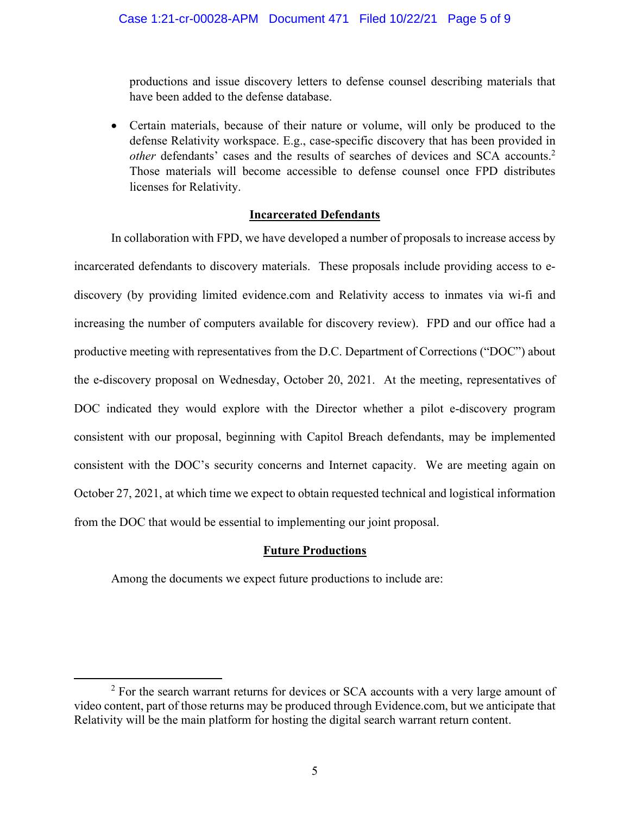### Case 1:21-cr-00028-APM Document 471 Filed 10/22/21 Page 5 of 9

productions and issue discovery letters to defense counsel describing materials that have been added to the defense database.

 Certain materials, because of their nature or volume, will only be produced to the defense Relativity workspace. E.g., case-specific discovery that has been provided in *other* defendants' cases and the results of searches of devices and SCA accounts.2 Those materials will become accessible to defense counsel once FPD distributes licenses for Relativity.

### **Incarcerated Defendants**

In collaboration with FPD, we have developed a number of proposals to increase access by incarcerated defendants to discovery materials. These proposals include providing access to ediscovery (by providing limited evidence.com and Relativity access to inmates via wi-fi and increasing the number of computers available for discovery review). FPD and our office had a productive meeting with representatives from the D.C. Department of Corrections ("DOC") about the e-discovery proposal on Wednesday, October 20, 2021. At the meeting, representatives of DOC indicated they would explore with the Director whether a pilot e-discovery program consistent with our proposal, beginning with Capitol Breach defendants, may be implemented consistent with the DOC's security concerns and Internet capacity. We are meeting again on October 27, 2021, at which time we expect to obtain requested technical and logistical information from the DOC that would be essential to implementing our joint proposal.

## **Future Productions**

Among the documents we expect future productions to include are:

 $2^2$  For the search warrant returns for devices or SCA accounts with a very large amount of video content, part of those returns may be produced through Evidence.com, but we anticipate that Relativity will be the main platform for hosting the digital search warrant return content.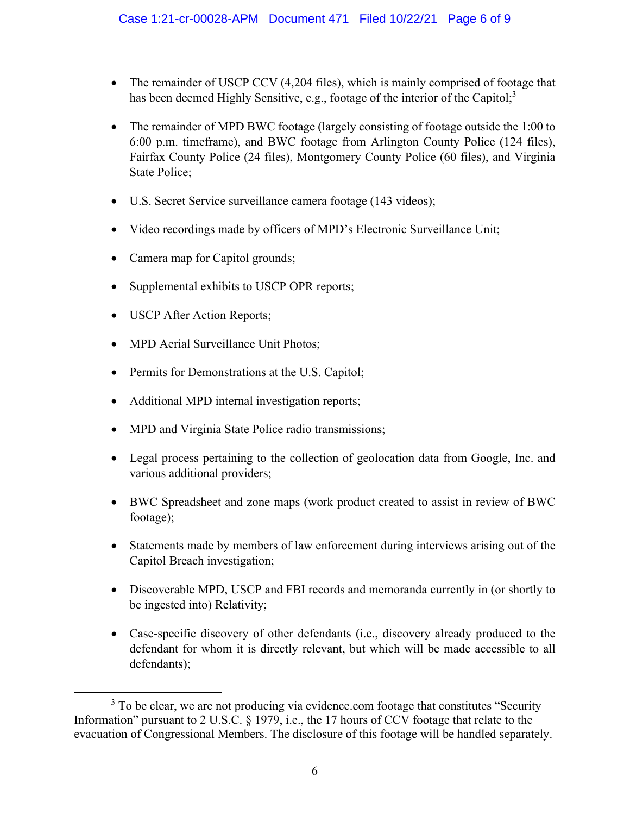- The remainder of USCP CCV (4,204 files), which is mainly comprised of footage that has been deemed Highly Sensitive, e.g., footage of the interior of the Capitol;<sup>3</sup>
- The remainder of MPD BWC footage (largely consisting of footage outside the 1:00 to 6:00 p.m. timeframe), and BWC footage from Arlington County Police (124 files), Fairfax County Police (24 files), Montgomery County Police (60 files), and Virginia State Police;
- U.S. Secret Service surveillance camera footage (143 videos);
- Video recordings made by officers of MPD's Electronic Surveillance Unit;
- Camera map for Capitol grounds;
- Supplemental exhibits to USCP OPR reports;
- USCP After Action Reports;
- MPD Aerial Surveillance Unit Photos;
- Permits for Demonstrations at the U.S. Capitol;
- Additional MPD internal investigation reports;
- MPD and Virginia State Police radio transmissions;
- Legal process pertaining to the collection of geolocation data from Google, Inc. and various additional providers;
- BWC Spreadsheet and zone maps (work product created to assist in review of BWC footage);
- Statements made by members of law enforcement during interviews arising out of the Capitol Breach investigation;
- Discoverable MPD, USCP and FBI records and memoranda currently in (or shortly to be ingested into) Relativity;
- Case-specific discovery of other defendants (i.e., discovery already produced to the defendant for whom it is directly relevant, but which will be made accessible to all defendants);

 $3$  To be clear, we are not producing via evidence.com footage that constitutes "Security Information" pursuant to 2 U.S.C. § 1979, i.e., the 17 hours of CCV footage that relate to the evacuation of Congressional Members. The disclosure of this footage will be handled separately.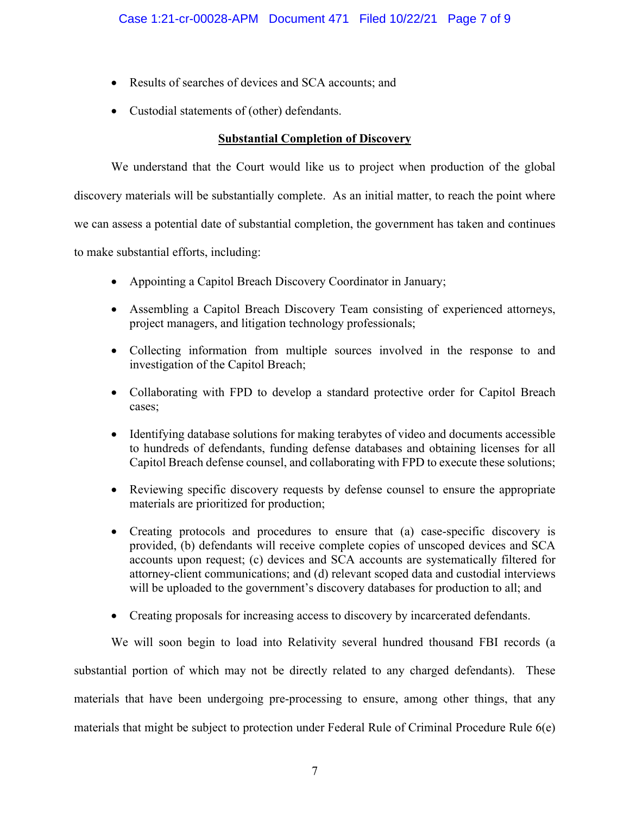- Results of searches of devices and SCA accounts; and
- Custodial statements of (other) defendants.

## **Substantial Completion of Discovery**

We understand that the Court would like us to project when production of the global discovery materials will be substantially complete. As an initial matter, to reach the point where we can assess a potential date of substantial completion, the government has taken and continues to make substantial efforts, including:

- Appointing a Capitol Breach Discovery Coordinator in January;
- Assembling a Capitol Breach Discovery Team consisting of experienced attorneys, project managers, and litigation technology professionals;
- Collecting information from multiple sources involved in the response to and investigation of the Capitol Breach;
- Collaborating with FPD to develop a standard protective order for Capitol Breach cases;
- Identifying database solutions for making terabytes of video and documents accessible to hundreds of defendants, funding defense databases and obtaining licenses for all Capitol Breach defense counsel, and collaborating with FPD to execute these solutions;
- Reviewing specific discovery requests by defense counsel to ensure the appropriate materials are prioritized for production;
- Creating protocols and procedures to ensure that (a) case-specific discovery is provided, (b) defendants will receive complete copies of unscoped devices and SCA accounts upon request; (c) devices and SCA accounts are systematically filtered for attorney-client communications; and (d) relevant scoped data and custodial interviews will be uploaded to the government's discovery databases for production to all; and
- Creating proposals for increasing access to discovery by incarcerated defendants.

We will soon begin to load into Relativity several hundred thousand FBI records (a substantial portion of which may not be directly related to any charged defendants). These materials that have been undergoing pre-processing to ensure, among other things, that any materials that might be subject to protection under Federal Rule of Criminal Procedure Rule 6(e)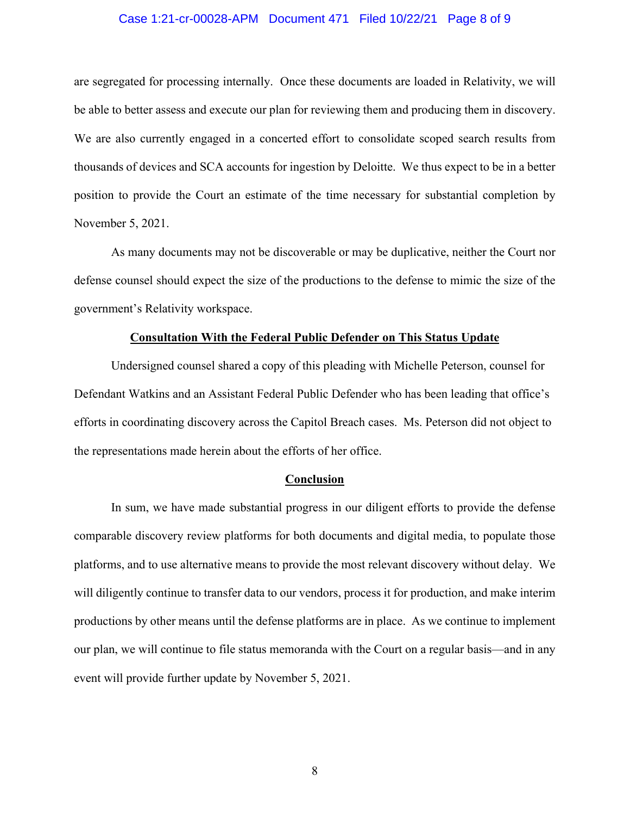#### Case 1:21-cr-00028-APM Document 471 Filed 10/22/21 Page 8 of 9

are segregated for processing internally. Once these documents are loaded in Relativity, we will be able to better assess and execute our plan for reviewing them and producing them in discovery. We are also currently engaged in a concerted effort to consolidate scoped search results from thousands of devices and SCA accounts for ingestion by Deloitte. We thus expect to be in a better position to provide the Court an estimate of the time necessary for substantial completion by November 5, 2021.

As many documents may not be discoverable or may be duplicative, neither the Court nor defense counsel should expect the size of the productions to the defense to mimic the size of the government's Relativity workspace.

#### **Consultation With the Federal Public Defender on This Status Update**

 Undersigned counsel shared a copy of this pleading with Michelle Peterson, counsel for Defendant Watkins and an Assistant Federal Public Defender who has been leading that office's efforts in coordinating discovery across the Capitol Breach cases. Ms. Peterson did not object to the representations made herein about the efforts of her office.

### **Conclusion**

In sum, we have made substantial progress in our diligent efforts to provide the defense comparable discovery review platforms for both documents and digital media, to populate those platforms, and to use alternative means to provide the most relevant discovery without delay. We will diligently continue to transfer data to our vendors, process it for production, and make interim productions by other means until the defense platforms are in place. As we continue to implement our plan, we will continue to file status memoranda with the Court on a regular basis—and in any event will provide further update by November 5, 2021.